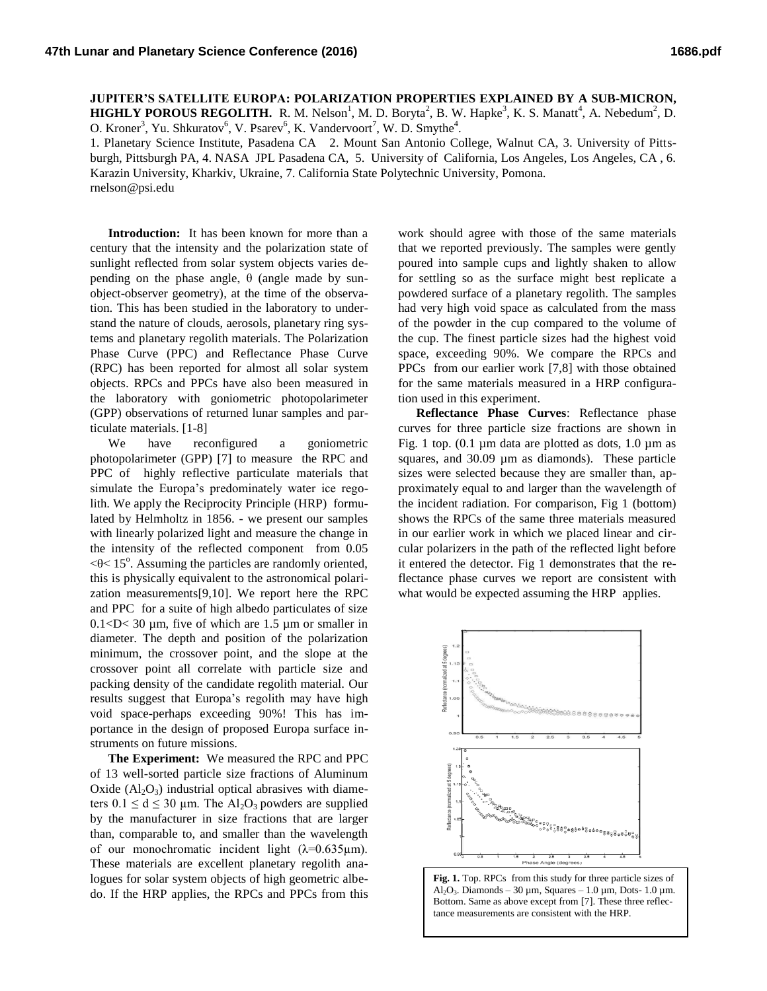**JUPITER'S SATELLITE EUROPA: POLARIZATION PROPERTIES EXPLAINED BY A SUB-MICRON, HIGHLY POROUS REGOLITH.** R. M. Nelson<sup>1</sup>, M. D. Boryta<sup>2</sup>, B. W. Hapke<sup>3</sup>, K. S. Manatt<sup>4</sup>, A. Nebedum<sup>2</sup>, D.

O. Kroner<sup>3</sup>, Yu. Shkuratov<sup>6</sup>, V. Psarev<sup>6</sup>, K. Vandervoort<sup>7</sup>, W. D. Smythe<sup>4</sup>.

1. Planetary Science Institute, Pasadena CA 2. Mount San Antonio College, Walnut CA, 3. University of Pittsburgh, Pittsburgh PA, 4. NASA JPL Pasadena CA, 5. University of California, Los Angeles, Los Angeles, CA , 6. Karazin University, Kharkiv, Ukraine, 7. California State Polytechnic University, Pomona. rnelson@psi.edu

**Introduction:** It has been known for more than a century that the intensity and the polarization state of sunlight reflected from solar system objects varies depending on the phase angle,  $θ$  (angle made by sunobject-observer geometry), at the time of the observation. This has been studied in the laboratory to understand the nature of clouds, aerosols, planetary ring systems and planetary regolith materials. The Polarization Phase Curve (PPC) and Reflectance Phase Curve (RPC) has been reported for almost all solar system objects. RPCs and PPCs have also been measured in the laboratory with goniometric photopolarimeter (GPP) observations of returned lunar samples and particulate materials. [1-8]

We have reconfigured a goniometric photopolarimeter (GPP) [7] to measure the RPC and PPC of highly reflective particulate materials that simulate the Europa's predominately water ice regolith. We apply the Reciprocity Principle (HRP) formulated by Helmholtz in 1856. - we present our samples with linearly polarized light and measure the change in the intensity of the reflected component from 0.05  $\leq$  0 $\leq$  15<sup>o</sup>. Assuming the particles are randomly oriented, this is physically equivalent to the astronomical polarization measurements[9,10]. We report here the RPC and PPC for a suite of high albedo particulates of size  $0.1 < D < 30$  µm, five of which are 1.5 µm or smaller in diameter. The depth and position of the polarization minimum, the crossover point, and the slope at the crossover point all correlate with particle size and packing density of the candidate regolith material. Our results suggest that Europa's regolith may have high void space-perhaps exceeding 90%! This has importance in the design of proposed Europa surface instruments on future missions.

**The Experiment:** We measured the RPC and PPC of 13 well-sorted particle size fractions of Aluminum Oxide  $(A<sub>1</sub>, O<sub>3</sub>)$  industrial optical abrasives with diameters  $0.1 \le d \le 30$  µm. The Al<sub>2</sub>O<sub>3</sub> powders are supplied by the manufacturer in size fractions that are larger than, comparable to, and smaller than the wavelength of our monochromatic incident light  $(\lambda=0.635\mu m)$ . These materials are excellent planetary regolith analogues for solar system objects of high geometric albedo. If the HRP applies, the RPCs and PPCs from this

work should agree with those of the same materials that we reported previously. The samples were gently poured into sample cups and lightly shaken to allow for settling so as the surface might best replicate a powdered surface of a planetary regolith. The samples had very high void space as calculated from the mass of the powder in the cup compared to the volume of the cup. The finest particle sizes had the highest void space, exceeding 90%. We compare the RPCs and PPCs from our earlier work [7,8] with those obtained for the same materials measured in a HRP configuration used in this experiment.

**Reflectance Phase Curves**: Reflectance phase curves for three particle size fractions are shown in Fig. 1 top.  $(0.1 \mu m)$  data are plotted as dots,  $1.0 \mu m$  as squares, and 30.09 µm as diamonds). These particle sizes were selected because they are smaller than, approximately equal to and larger than the wavelength of the incident radiation. For comparison, Fig 1 (bottom) shows the RPCs of the same three materials measured in our earlier work in which we placed linear and circular polarizers in the path of the reflected light before it entered the detector. Fig 1 demonstrates that the reflectance phase curves we report are consistent with what would be expected assuming the HRP applies.